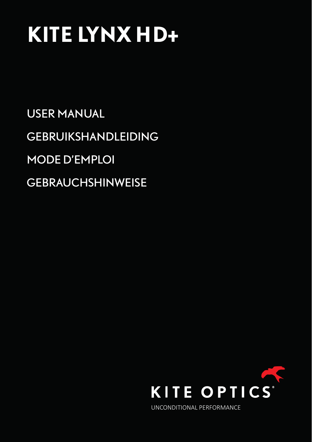# **KITE LYNX HD+**

USER MANUAL GEBRUIKSHANDLEIDING MODE D'EMPLOI **GEBRAUCHSHINWEISE** 

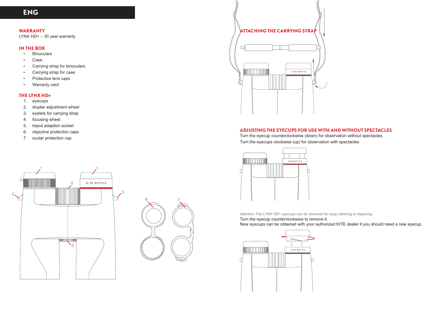# **WARRANTY**

LYNX HD+ – 30 year warranty

# **IN THE BOX**

- Binoculars
- Case
- Carrying strap for binoculars
- Carrying strap for case
- Protective lens caps
- Warranty card

# **THE LYNX HD+**

- 1. eyecups
- 2. diopter adjustment wheel
- 3. eyelets for carrying strap
- 4. focusing wheel
- 5. tripod adaption socket
- 6. objective protection caps
- 7. ocular protection cap







# **ADJUSTING THE EYECUPS FOR USE WITH AND WITHOUT SPECTACLES**

Turn the eyecup counterclockwise (down) for observation without spectacles. Turn the eyecups clockwise (up) for observation with spectacles.



*Attention The LYNX HD+ eyecups can be removed for easy cleaning or replacing.*

Turn the eyecup counterclockwise to remove it.

New eyecups can be obtained with your authorized KITE dealer if you should need a new eyecup.

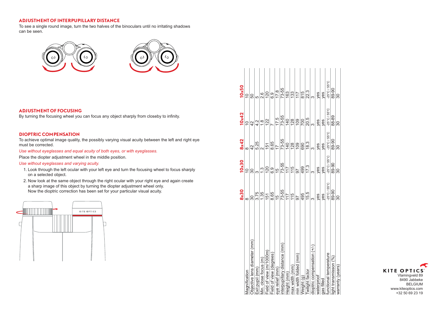# **ADJUSTMENT OF INTERPUPILLARY DISTANCE**

To see a single round image, turn the two halves of the binoculars until no irritating shadows can be seen.



# **ADJUSTMENT OF FOCUSING**

By turning the focusing wheel you can focus any object sharply from closeby to infinity.

#### **DIOPTRIC COMPENSATION**

To achieve optimal image quality, the possibly varying visual acuity between the left and right eye must be corrected.

*Use without eyeglasses and equal acuity of both eyes, or with eyeglasses.*

Place the diopter adjustment wheel in the middle position.

## *Use without eyeglasses and varying acuity.*

- 1. Look through the left ocular with your left eye and turn the focusing wheel to focus sharply on a selected object.
- 2. Now look at the same object through the right ocular with your right eye and again create a sharp image of this object by turning the diopter adjustment wheel only. Now the dioptric correction has been set for your particular visual acuity.



|                              | 8x30                             | 10x30                             | 8x42                   | 10x42                            | 10 <sub>x</sub> 50                |
|------------------------------|----------------------------------|-----------------------------------|------------------------|----------------------------------|-----------------------------------|
| Magnification                | ∞                                | ă                                 | ∞                      | $\widetilde{\mathbin{\cup}}$     | $\overline{C}$                    |
| Objective lens diameter (mm) | వ్ల                              | 30                                | $\frac{2}{4}$          | $\frac{2}{3}$                    | 50                                |
| Exit pupil (mm)              | 3.75                             |                                   | 5.25                   | $\frac{1}{4}$                    | ιŋ                                |
| /in. close focus (m)         | 1.35                             | $\frac{3}{1}$                     |                        | $\frac{8}{1}$                    | 2.6                               |
| Field of view (m/1000m)      | 151                              | 120                               | 151                    | 122                              | 120                               |
| Field of view (degrees)      | 8.65                             | 6.9                               | 8.65                   |                                  | 6.9                               |
| eye relief (mm)              | 46                               | $\frac{1}{2}$                     | $\overline{17}$        | 17.5                             | 17.8                              |
| nterpupillary distance (mm)  | 73-55                            | 73-55                             | 73-55                  | 73-55                            | 73-55                             |
| leight (mm)                  | 117                              | 117                               | $\frac{40}{5}$         | $\overline{40}$                  | 163                               |
| nax width (mm)               | 115                              | 115                               | 128                    | $\frac{28}{2}$                   | 133                               |
| nin width folded (mm)        | 50                               | 50                                | 109                    | 109                              | 117                               |
| Veight (g)                   | 495                              | 499                               | 690                    | 700                              | 815                               |
| wilight factor               | 15.5                             | 17.3                              | 18.3                   | 20.5                             | 22.3                              |
| dioptric compensation (+/-)  | က                                |                                   | ო                      | ო                                | က<br>က                            |
| waterproof                   | yes                              | yes                               | yes                    | yes                              | yes                               |
| gas filled                   | yes                              | yes                               | yes                    | yes                              | yes                               |
| unctional temperature        | $25^{\circ}$ C / 55 $^{\circ}$ C | $-25^{\circ}$ C / 55 $^{\circ}$ C | $-25^{\circ}$ C / 55°C | $25^{\circ}$ C / 55 $^{\circ}$ C | $-25^{\circ}$ C / 55 $^{\circ}$ C |
| light transmisson (%)        | 89-90                            | 89-90                             | 89-90                  | 88-89                            | 89-90                             |
| warranty (years)             | 30                               | 30                                | 30                     | 30                               | 30                                |

**KITE OPTICS** Vlamingveld 89 8490 Jabbeke BELGIUM www.kiteoptics.com +32 50 69 23 19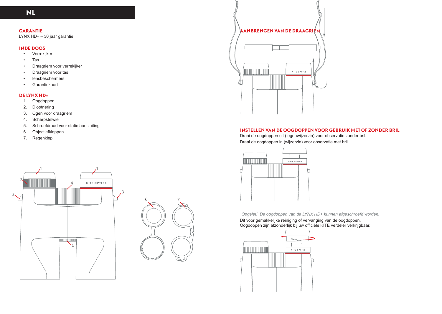# **GARANTIE**

LYNX HD+ – 30 jaar garantie

# **INDE DOOS**

- Verrekijker
- Tas
- Draagriem voor verrekijker
- Draagriem voor tas
- lensbeschermers
- Garantiekaart

# **DE LYNX HD+**

- 1. Oogdoppen
- 2. Dioptriering
- 3. Ogen voor draagriem
- 4. Scherpstelwiel
- 5. Schroefdraad voor statiefaansluiting
- 6. Objectiefkleppen
- 7. Regenklep







# **INSTELLEN VAN DE OOGDOPPEN VOOR GEBRUIK MET OF ZONDER BRIL**

Draai de oogdoppen uit (tegenwijzerzin) voor observatie zonder bril. Draai de oogdoppen in (wijzerzin) voor observatie met bril.



*Opgelet! De oogdoppen van de LYNX HD+ kunnen afgeschroefd worden.*  Dit voor gemakkelijke reiniging of vervanging van de oogdoppen.

Oogdoppen zijn afzonderlijk bij uw officiële KITE verdeler verkrijgbaar.

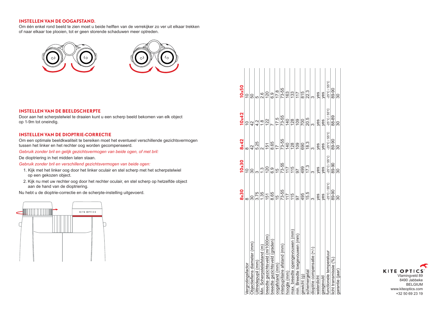# **INSTELLEN VAN DE OOGAFSTAND.**

Om één enkel rond beeld te zien moet u beide helften van de verrekijker zo ver uit elkaar trekken of naar elkaar toe plooien, tot er geen storende schaduwen meer optreden.



## **INSTELLEN VAN DE BEELDSCHERPTE**

Door aan het scherpstelwiel te draaien kunt u een scherp beeld bekomen van elk object op 1-9m tot oneindig.

# **INSTELLEN VAN DE DIOPTRIE-CORRECTIE**

Om een optimale beeldkwaliteit te bereiken moet het eventueel verschillende gezichtsvermogen tussen het linker en het rechter oog worden gecompenseerd.

#### *Gebruik zonder bril en gelijk gezichtsvermogen van beide ogen, of met bril:*

De dioptriering in het midden laten staan.

# *Gebruik zonder bril en verschillend gezichtsvermogen van beide ogen:*

- 1. Kijk met het linker oog door het linker oculair en stel scherp met het scherpstelwiel op een gekozen object.
- 2. Kijk nu met uw rechter oog door het rechter oculair, en stel scherp op hetzelfde object aan de hand van de dioptriering.

Nu hebt u de dioptrie-correctie en de scherpte-instelling uitgevoerd.



|                                | <b>8x30</b>                       | 10x30                             | 8x42                              | 10x42                             | $10\times50$                      |  |
|--------------------------------|-----------------------------------|-----------------------------------|-----------------------------------|-----------------------------------|-----------------------------------|--|
| Vergrotingsfactor              | ထ                                 | ă                                 | $\infty$                          | $\widetilde{C}$                   | $\overline{C}$                    |  |
| Objectieflens diameter (mm)    | వ్ల                               | నె                                | $\frac{2}{3}$                     | $\frac{2}{4}$                     | 50                                |  |
| Uittredepupil (mm)             | 3.75                              |                                   | 5.25                              | $\frac{4}{3}$                     | 5                                 |  |
| Min. Scherpstelafstand (m)     | 1.35                              | $\frac{3}{1}$                     |                                   | $\frac{8}{1}$                     | 2.6                               |  |
| breedte gezichtsveld (m/1000m) | 151                               | 120                               | $\frac{15}{1}$                    | 122                               | 120                               |  |
| breedte gezichtsveld (graden)  | 8.65                              | 6.9                               | 8.65                              |                                   | 6.9                               |  |
| oogatstand (mm)                | 15                                | 15                                | $\overline{1}$                    | 17.5                              | 17.8                              |  |
| interpupillaire afstand (mm)   | 73-55                             | 73-55                             | 73-55                             | 73-55                             | 73-55                             |  |
| hoogte (mm)                    | 117                               | 117                               | $\frac{40}{5}$                    | $\frac{40}{5}$                    | 163                               |  |
| max. breedte opengevouwen (mm) | 115                               | 115                               | 128                               | 128                               | 133                               |  |
| min. Breedte toegevouwen (mm)  | 50                                | 56                                | $\frac{8}{2}$                     | $\frac{80}{1}$                    | 117                               |  |
| gewicht (g)                    | 495                               | 499                               | 690                               | 700                               | 815                               |  |
| schemergetal                   | 15.5                              | 17.3                              | 18.3                              | 20.5                              | 22.3                              |  |
| dioptrie compensatie (+/-)     | က                                 | က                                 | က                                 | က                                 | ო                                 |  |
| waterdicht                     | yes                               | yes                               | yes                               | yes                               | yes                               |  |
| gasgevuld                      | yes                               | yes                               | yes                               | yes                               | yes                               |  |
| functionele temperatuur        | $-25^{\circ}$ C / 55 $^{\circ}$ C | $-25^{\circ}$ C / 55 $^{\circ}$ C | $-25^{\circ}$ C / 55 $^{\circ}$ C | $-25^{\circ}$ C / 55 $^{\circ}$ C | $-25^{\circ}$ C / 55 $^{\circ}$ C |  |
| licht transmissie (%)          | 89-90                             | 89-90                             | 89-90                             | 88-89                             | 89-90                             |  |
| garantie (jaar)                | 30                                | వ్ల                               | 30                                | 30                                | 30                                |  |

**KITE OPTICS** Vlamingveld 89 8490 Jabbeke BELGIUM www.kiteoptics.com +32 50 69 23 19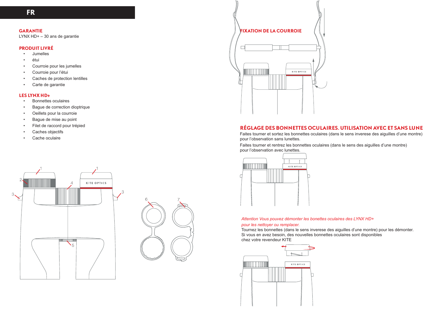# **GARANTIE**

LYNX HD+ – 30 ans de garantie

# **PRODUIT LIVRÉ**

- Jumelles
- étui
- Courroie pour les jumelles
- Courroie pour l'étui
- Caches de protection lentilles
- Carte de garantie

## **LES LYNX HD+**

- Bonnettes oculaires
- Bague de correction dioptrique
- Oeillets pour la courroie
- Bague de mise au point
- Filet de raccord pour trépied
- Caches objectifs
- Cache oculaire







# **RÉGLAGE DES BONNETTES OCULAIRES. UTILISATION AVEC ET SANS LUNE**

Faites tourner et sortez les bonnettes oculaires (dans le sens inverese des aiguilles d'une montre) pour l'observation sans lunettes.

Faites tourner et rentrez les bonnettes oculaires (dans le sens des aiguilles d'une montre) pour l'observation avec lunettes.



### *Attention Vous pouvez démonter les bonettes oculaires des LYNX HD+ pour les nettoyer ou remplacer.*

Tournez les bonnettes (dans le sens inverese des aiguilles d'une montre) pour les démonter. Si vous en avez besoin, des nouvelles bonnettes oculaires sont disponibles chez votre revendeur KITE

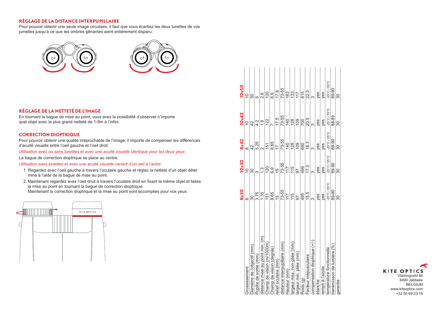# **RÉGLAGE DE LA DISTANCE INTERPUPILLAIRE**

Pour pouvoir obtenir une seule image circulaire, il faut que vous écartiez les deux lunettes de vos jumelles jusqu'à ce que les ombres gênantes aient entièrement disparu.



# **RÉGLAGE DE LA NETTETÉ DE L'IMAGE**

En tournant la bague de mise au point, vous avez la possibilité d'observer n'importe quel objet avec la plus grand netteté de 1-9m à l'infini.

# **CORRECTION DIOPTRIQUE**

Pour pouvoir obtenir une qualité irréprochable de l'image, il importe de compenser les différences d'acuité visuelle entre l'oeil gauche et l'oeil droit.

*Utilisation avec ou sans lunettes et avec une acuité visuelle identique pour les deux yeux:*

La bague de correction dioptrique se place au centre.

*Utilisation sans lunettes et avex une acuité visuelle variant d'un oeil à l'autre:*

- 1. Regardez avec l'oeil gauche à travers l'oculaire gauche et réglez la netteté d'un objet déter miné à l'aide de la bague de mise au point.
- 2. Maintenant regardez avex l'oeil droit à travers l'oculaire droit en fixant le même objet et faites la mise au point en tournant la bague de correction dioptrique. Maintenant la correction dioptrique et la mise au point sont accomplies pour vos yeux.



| Diamètre de l'objectif (mm)<br>Grossissement |                | 10x30                             | 8x42                              | 10x42                            | 10x50                            |  |
|----------------------------------------------|----------------|-----------------------------------|-----------------------------------|----------------------------------|----------------------------------|--|
|                                              |                | ă                                 | ထ                                 | Ö,                               |                                  |  |
|                                              | 30             |                                   | $\frac{2}{3}$                     | 42                               | 50                               |  |
| Pupille de sortie (mm)                       | 3.75           |                                   | 5.25                              | $\frac{1}{4}$                    | ю                                |  |
| distance mise au point min. (m)              | 1.35           | $\ddot{.}$                        | $\overline{\mathsf{N}}$           | $\frac{8}{1}$                    | 2.6                              |  |
| Champ de vision (m/1000m)                    | 151            | 120                               | 151                               | 122                              | 120                              |  |
| Champ de vision (degrés)                     | 8.65           | 6.9                               | 8.65                              |                                  | 6.9                              |  |
| relief oculaire (mm)                         | $\frac{15}{2}$ | 15                                | $\overline{1}$                    | 17.5                             | 17.8                             |  |
| distance interpupillaire (mm)                | 73-55          | 73-55                             | 73-55                             | 73-55                            | 73-55                            |  |
| Hauteur (mm)                                 | 117            | 117                               | $\overline{40}$                   | 140                              | 163                              |  |
| argeur max. non-pliée (mm)                   | 115            | 115                               | 128                               | 128                              | 133                              |  |
| argeur min. pliée (mm)                       | 50             | 50                                | $\overline{0}$                    | 109                              | 117                              |  |
| Poids <sub>(g)</sub>                         | 495            | 499                               | 690                               | 700                              | 815                              |  |
| Facteur crépusculaire                        | 15.5           | 17.3                              | 18.3                              | 20.5                             | 22.3                             |  |
| compensation dioptrique (+/-)                | က              | ო                                 | က                                 | က                                | S                                |  |
| étanche                                      | yes            | yes                               | yes                               | yes                              | yes                              |  |
| rempli à l'azote                             | yes            | yes                               | yes                               | yes                              | yes                              |  |
| température fonctionnelle                    | 25°C/55°C      | $-25^{\circ}$ C / 55 $^{\circ}$ C | $-25^{\circ}$ C / 55 $^{\circ}$ C | $25^{\circ}$ C / 55 $^{\circ}$ C | $25^{\circ}$ C / 55 $^{\circ}$ C |  |
| transmisson de lumière (%)                   | 89-90          | 89-90                             | 89-90                             | 88-89                            | 89-90                            |  |
| garantie                                     | 30             | 30                                | వ్ల                               | 30                               | 30                               |  |

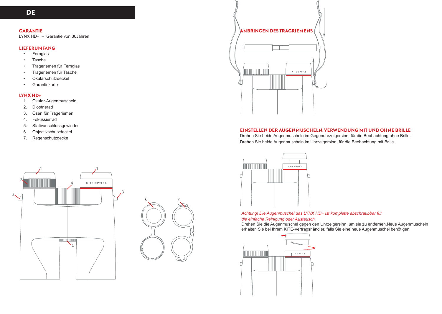# **GARANTIE**

LYNX HD+ – Garantie von 30Jahren

# **LIEFERUMFANG**

- Fernglas
- Tasche
- Trageriemen für Fernglas
- Trageriemen für Tasche
- Okularschutzdeckel
- Garantiekarte

# **LYNX HD+**

- 1. Okular-Augenmuscheln
- 2. Dioptrierad
- 3. Ösen für Trageriemen
- 4. Fokussierrad
- 5. Stativanschlussgewindes
- 6. Objectivschutzdeckel
- 7. Regenschutzdecke







## **EINSTELLEN DER AUGENMUSCHELN. VERWENDUNG MIT UND OHNE BRILLE**

Drehen Sie beide Augenmuscheln im Gegenuhrzeigersinn, für die Beobachtung ohne Brille. Drehen Sie beide Augenmuscheln im Uhrzeigersinn, für die Beobachtung mit Brille.



# *Achtung! Die Augenmuschel das LYNX HD+ ist komplette abschraubbar für die einfache Reinigung oder Austausch.*

Drehen Sie die Augenmuschel gegen den Uhrzeigersinn, um sie zu entfernen.Neue Augenmuscheln erhalten Sie bei Ihrem KITE-Vertragshändler, falls Sie eine neue Augenmuschel benötigen.